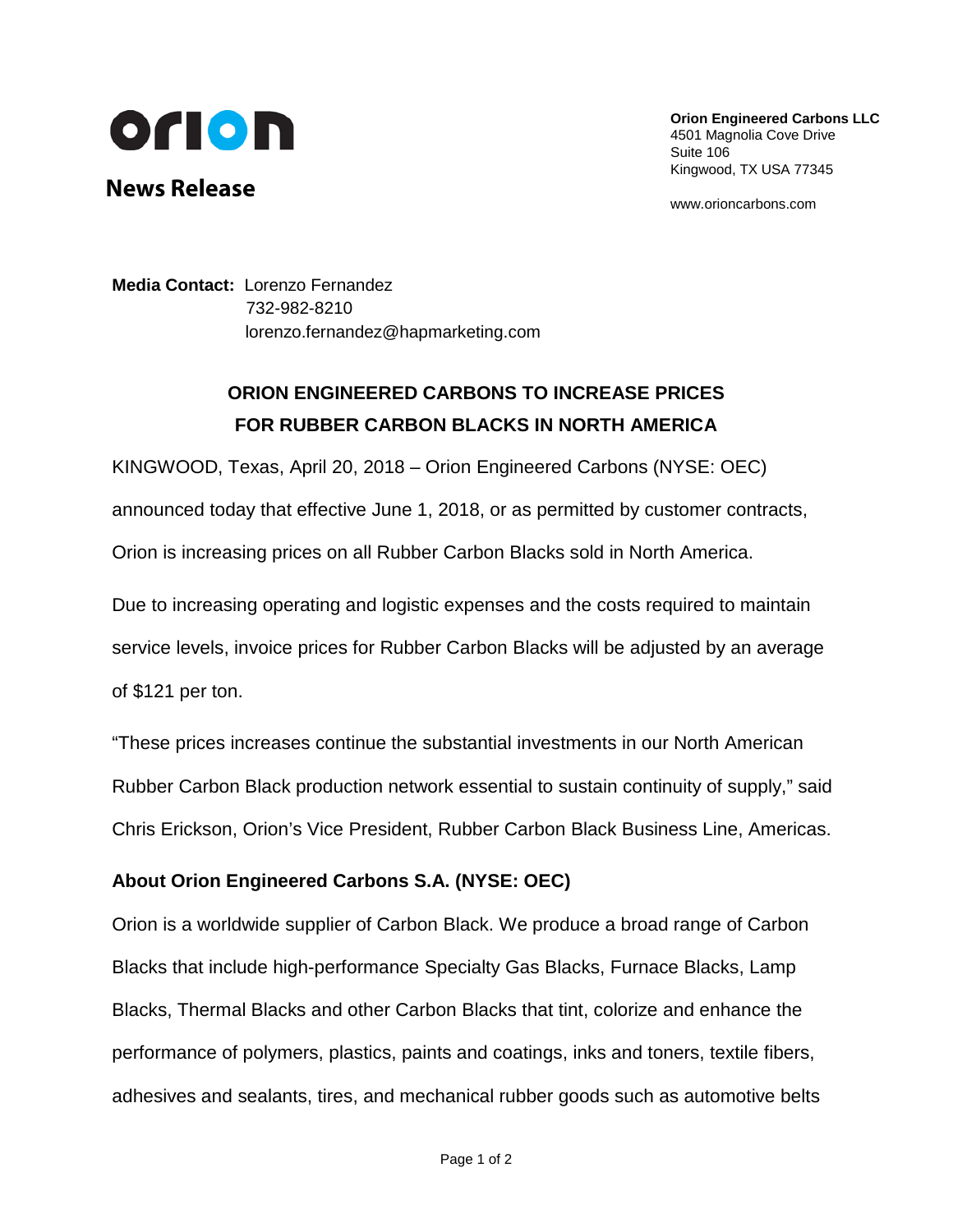

**News Release**

**Orion Engineered Carbons LLC** 4501 Magnolia Cove Drive Suite 106 Kingwood, TX USA 77345

www.orioncarbons.com

**Media Contact:** Lorenzo Fernandez 732-982-8210 [lorenzo.fernandez@hapmarketing.com](mailto:lorenzo.fernandez@hapmarketing.com)

## **ORION ENGINEERED CARBONS TO INCREASE PRICES FOR RUBBER CARBON BLACKS IN NORTH AMERICA**

KINGWOOD, Texas, April 20, 2018 – Orion Engineered Carbons (NYSE: OEC) announced today that effective June 1, 2018, or as permitted by customer contracts, Orion is increasing prices on all Rubber Carbon Blacks sold in North America.

Due to increasing operating and logistic expenses and the costs required to maintain service levels, invoice prices for Rubber Carbon Blacks will be adjusted by an average of \$121 per ton.

"These prices increases continue the substantial investments in our North American Rubber Carbon Black production network essential to sustain continuity of supply," said Chris Erickson, Orion's Vice President, Rubber Carbon Black Business Line, Americas.

## **About Orion Engineered Carbons S.A. (NYSE: OEC)**

Orion is a worldwide supplier of Carbon Black. We produce a broad range of Carbon Blacks that include high-performance Specialty Gas Blacks, Furnace Blacks, Lamp Blacks, Thermal Blacks and other Carbon Blacks that tint, colorize and enhance the performance of polymers, plastics, paints and coatings, inks and toners, textile fibers, adhesives and sealants, tires, and mechanical rubber goods such as automotive belts